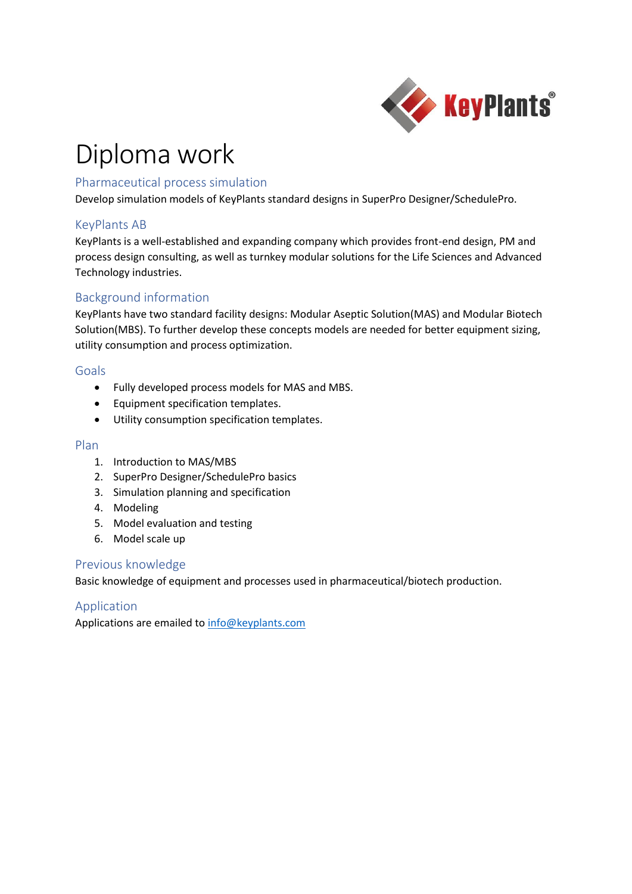

## Diploma work

## Pharmaceutical process simulation

Develop simulation models of KeyPlants standard designs in SuperPro Designer/SchedulePro.

## KeyPlants AB

KeyPlants is a well-established and expanding company which provides front-end design, PM and process design consulting, as well as turnkey modular solutions for the Life Sciences and Advanced Technology industries.

## Background information

KeyPlants have two standard facility designs: Modular Aseptic Solution(MAS) and Modular Biotech Solution(MBS). To further develop these concepts models are needed for better equipment sizing, utility consumption and process optimization.

### Goals

- Fully developed process models for MAS and MBS.
- Equipment specification templates.
- Utility consumption specification templates.

#### Plan

- 1. Introduction to MAS/MBS
- 2. SuperPro Designer/SchedulePro basics
- 3. Simulation planning and specification
- 4. Modeling
- 5. Model evaluation and testing
- 6. Model scale up

#### Previous knowledge

Basic knowledge of equipment and processes used in pharmaceutical/biotech production.

## Application

Applications are emailed t[o info@keyplants.com](mailto:info@keyplants.com)